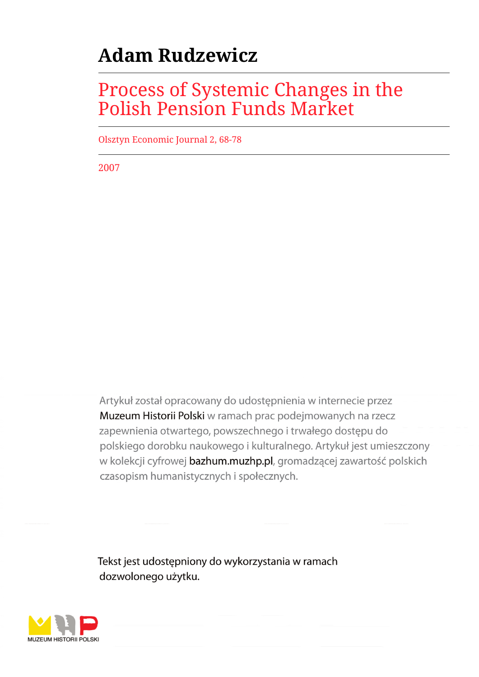# **Adam Rudzewicz**

## Process of Systemic Changes in the Polish Pension Funds Market

Olsztyn Economic Journal 2, 68-78

2007

Artykuł został opracowany do udostępnienia w internecie przez Muzeum Historii Polski w ramach prac podejmowanych na rzecz zapewnienia otwartego, powszechnego i trwałego dostępu do polskiego dorobku naukowego i kulturalnego. Artykuł jest umieszczony w kolekcji cyfrowej bazhum.muzhp.pl, gromadzącej zawartość polskich czasopism humanistycznych i społecznych.

Tekst jest udostępniony do wykorzystania w ramach dozwolonego użytku.

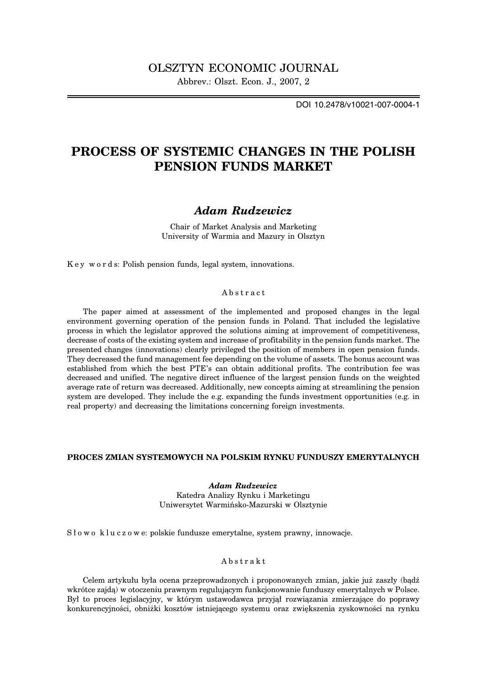DOI 10.2478/v10021-007-0004-1

## **PROCESS OF SYSTEMIC CHANGES IN THE POLISH PENSION FUNDS MARKET**

## *Adam Rudzewicz*

Chair of Market Analysis and Marketing University of Warmia and Mazury in Olsztyn

K e y w o r d s: Polish pension funds, legal system, innovations.

#### Abstract

The paper aimed at assessment of the implemented and proposed changes in the legal environment governing operation of the pension funds in Poland. That included the legislative process in which the legislator approved the solutions aiming at improvement of competitiveness, decrease of costs of the existing system and increase of profitability in the pension funds market. The presented changes (innovations) clearly privileged the position of members in open pension funds. They decreased the fund management fee depending on the volume of assets. The bonus account was established from which the best PTE's can obtain additional profits. The contribution fee was decreased and unified. The negative direct influence of the largest pension funds on the weighted average rate of return was decreased. Additionally, new concepts aiming at streamlining the pension system are developed. They include the e.g. expanding the funds investment opportunities (e.g. in real property) and decreasing the limitations concerning foreign investments.

#### **PROCES ZMIAN SYSTEMOWYCH NA POLSKIM RYNKU FUNDUSZY EMERYTALNYCH**

*Adam Rudzewicz* Katedra Analizy Rynku i Marketingu Uniwersytet Warmińsko-Mazurski w Olsztynie

Słowo kluczowe: polskie fundusze emerytalne, system prawny, innowacje.

#### Abstrakt

Celem artykułu była ocena przeprowadzonych i proponowanych zmian, jakie już zaszły (bądź wkrótce zajdą) w otoczeniu prawnym regulującym funkcjonowanie funduszy emerytalnych w Polsce. Był to proces legislacyjny, w którym ustawodawca przyjął rozwiązania zmierzające do poprawy konkurencyjności, obniżki kosztów istniejącego systemu oraz zwiększenia zyskowności na rynku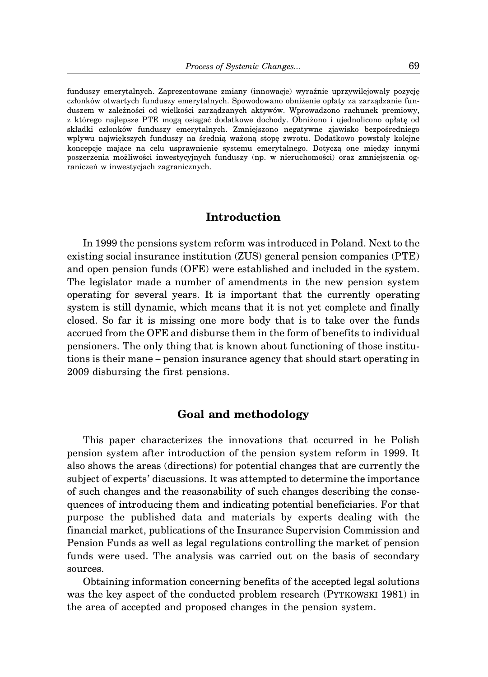funduszy emerytalnych. Zaprezentowane zmiany (innowacje) wyraźnie uprzywilejowały pozycję członków otwartych funduszy emerytalnych. Spowodowano obniżenie opłaty za zarządzanie funduszem w zależności od wielkości zarządzanych aktywów. Wprowadzono rachunek premiowy, z którego najlepsze PTE mogą osiągać dodatkowe dochody. Obniżono i ujednolicono opłatę od składki członków funduszy emerytalnych. Zmniejszono negatywne zjawisko bezpośredniego wpływu największych funduszy na średnią ważoną stopę zwrotu. Dodatkowo powstały kolejne koncepcje mające na celu usprawnienie systemu emerytalnego. Dotyczą one między innymi poszerzenia możliwości inwestycyjnych funduszy (np. w nieruchomości) oraz zmniejszenia ograniczeń w inwestycjach zagranicznych.

#### **Introduction**

In 1999 the pensions system reform was introduced in Poland. Next to the existing social insurance institution (ZUS) general pension companies (PTE) and open pension funds (OFE) were established and included in the system. The legislator made a number of amendments in the new pension system operating for several years. It is important that the currently operating system is still dynamic, which means that it is not yet complete and finally closed. So far it is missing one more body that is to take over the funds accrued from the OFE and disburse them in the form of benefits to individual pensioners. The only thing that is known about functioning of those institutions is their mane – pension insurance agency that should start operating in 2009 disbursing the first pensions.

### **Goal and methodology**

This paper characterizes the innovations that occurred in he Polish pension system after introduction of the pension system reform in 1999. It also shows the areas (directions) for potential changes that are currently the subject of experts' discussions. It was attempted to determine the importance of such changes and the reasonability of such changes describing the consequences of introducing them and indicating potential beneficiaries. For that purpose the published data and materials by experts dealing with the financial market, publications of the Insurance Supervision Commission and Pension Funds as well as legal regulations controlling the market of pension funds were used. The analysis was carried out on the basis of secondary sources.

Obtaining information concerning benefits of the accepted legal solutions was the key aspect of the conducted problem research (PYTKOWSKI 1981) in the area of accepted and proposed changes in the pension system.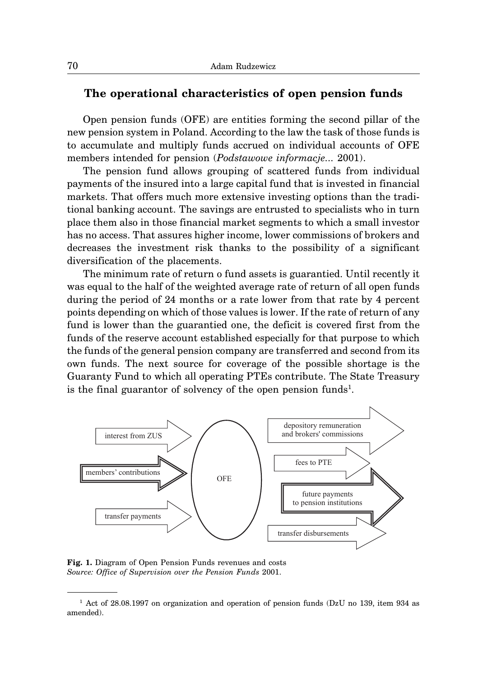#### **The operational characteristics of open pension funds**

Open pension funds (OFE) are entities forming the second pillar of the new pension system in Poland. According to the law the task of those funds is to accumulate and multiply funds accrued on individual accounts of OFE members intended for pension (*Podstawowe informacje...* 2001).

The pension fund allows grouping of scattered funds from individual payments of the insured into a large capital fund that is invested in financial markets. That offers much more extensive investing options than the traditional banking account. The savings are entrusted to specialists who in turn place them also in those financial market segments to which a small investor has no access. That assures higher income, lower commissions of brokers and decreases the investment risk thanks to the possibility of a significant diversification of the placements.

The minimum rate of return o fund assets is guarantied. Until recently it was equal to the half of the weighted average rate of return of all open funds during the period of 24 months or a rate lower from that rate by 4 percent points depending on which of those values is lower. If the rate of return of any fund is lower than the guarantied one, the deficit is covered first from the funds of the reserve account established especially for that purpose to which the funds of the general pension company are transferred and second from its own funds. The next source for coverage of the possible shortage is the Guaranty Fund to which all operating PTEs contribute. The State Treasury is the final guarantor of solvency of the open pension funds<sup>1</sup>.



**Fig. 1.** Diagram of Open Pension Funds revenues and costs *Source: Office of Supervision over the Pension Funds* 2001.

<sup>1</sup> Act of 28.08.1997 on organization and operation of pension funds (DzU no 139, item 934 as amended).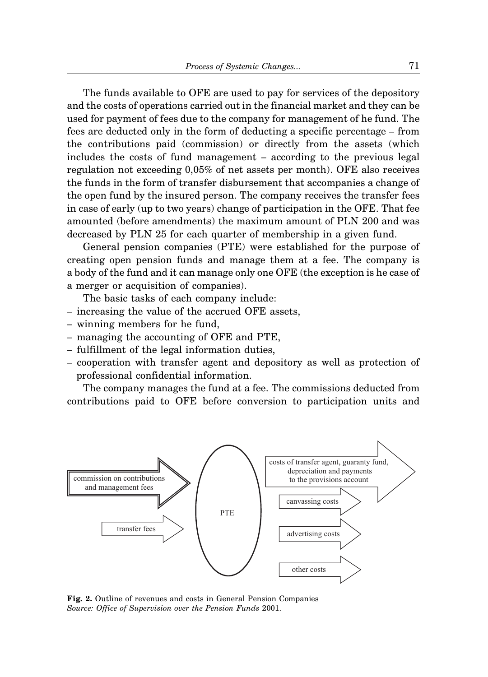The funds available to OFE are used to pay for services of the depository and the costs of operations carried out in the financial market and they can be used for payment of fees due to the company for management of he fund. The fees are deducted only in the form of deducting a specific percentage – from the contributions paid (commission) or directly from the assets (which includes the costs of fund management – according to the previous legal regulation not exceeding 0,05% of net assets per month). OFE also receives the funds in the form of transfer disbursement that accompanies a change of the open fund by the insured person. The company receives the transfer fees in case of early (up to two years) change of participation in the OFE. That fee amounted (before amendments) the maximum amount of PLN 200 and was decreased by PLN 25 for each quarter of membership in a given fund.

General pension companies (PTE) were established for the purpose of creating open pension funds and manage them at a fee. The company is a body of the fund and it can manage only one OFE (the exception is he case of a merger or acquisition of companies).

The basic tasks of each company include:

- increasing the value of the accrued OFE assets,
- winning members for he fund,
- managing the accounting of OFE and PTE,
- fulfillment of the legal information duties,
- cooperation with transfer agent and depository as well as protection of professional confidential information.

The company manages the fund at a fee. The commissions deducted from contributions paid to OFE before conversion to participation units and



**Fig. 2.** Outline of revenues and costs in General Pension Companies *Source: Office of Supervision over the Pension Funds* 2001.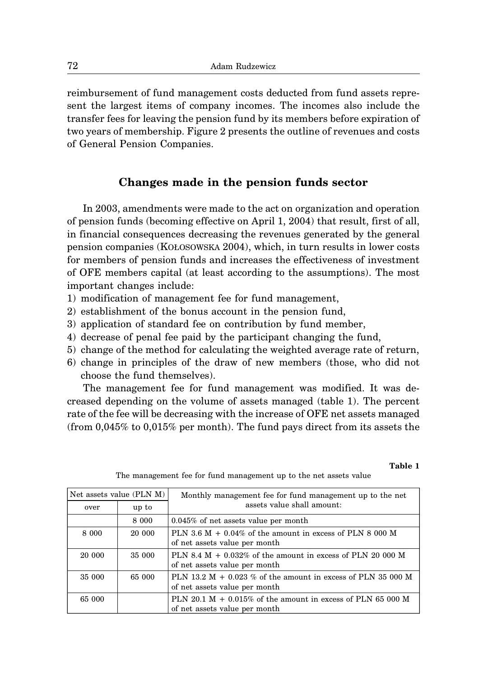reimbursement of fund management costs deducted from fund assets represent the largest items of company incomes. The incomes also include the transfer fees for leaving the pension fund by its members before expiration of two years of membership. Figure 2 presents the outline of revenues and costs of General Pension Companies.

## **Changes made in the pension funds sector**

In 2003, amendments were made to the act on organization and operation of pension funds (becoming effective on April 1, 2004) that result, first of all, in financial consequences decreasing the revenues generated by the general pension companies (KOŁOSOWSKA 2004), which, in turn results in lower costs for members of pension funds and increases the effectiveness of investment of OFE members capital (at least according to the assumptions). The most important changes include:

- 1) modification of management fee for fund management,
- 2) establishment of the bonus account in the pension fund,
- 3) application of standard fee on contribution by fund member,
- 4) decrease of penal fee paid by the participant changing the fund,
- 5) change of the method for calculating the weighted average rate of return,
- 6) change in principles of the draw of new members (those, who did not choose the fund themselves).

The management fee for fund management was modified. It was decreased depending on the volume of assets managed (table 1). The percent rate of the fee will be decreasing with the increase of OFE net assets managed (from 0,045% to 0,015% per month). The fund pays direct from its assets the

**Table 1**

| Net assets value (PLN M) |         | Monthly management fee for fund management up to the net                                       |
|--------------------------|---------|------------------------------------------------------------------------------------------------|
| over                     | up to   | assets value shall amount:                                                                     |
|                          | 8 0 0 0 | $0.045\%$ of net assets value per month                                                        |
| 8 000                    | 20 000  | PLN 3.6 M + $0.04\%$ of the amount in excess of PLN 8 000 M<br>of net assets value per month   |
| 20 000                   | 35 000  | PLN 8.4 M + $0.032\%$ of the amount in excess of PLN 20 000 M<br>of net assets value per month |
| 35 000                   | 65 000  | PLN 13.2 M + 0.023 % of the amount in excess of PLN 35 000 M<br>of net assets value per month  |
| 65 000                   |         | PLN 20.1 M + 0.015% of the amount in excess of PLN 65 000 M<br>of net assets value per month   |

The management fee for fund management up to the net assets value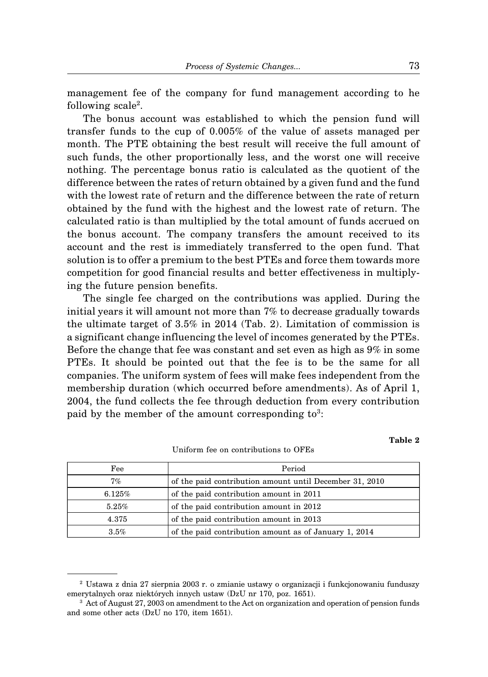management fee of the company for fund management according to he following scale<sup>2</sup>.

The bonus account was established to which the pension fund will transfer funds to the cup of 0.005% of the value of assets managed per month. The PTE obtaining the best result will receive the full amount of such funds, the other proportionally less, and the worst one will receive nothing. The percentage bonus ratio is calculated as the quotient of the difference between the rates of return obtained by a given fund and the fund with the lowest rate of return and the difference between the rate of return obtained by the fund with the highest and the lowest rate of return. The calculated ratio is than multiplied by the total amount of funds accrued on the bonus account. The company transfers the amount received to its account and the rest is immediately transferred to the open fund. That solution is to offer a premium to the best PTEs and force them towards more competition for good financial results and better effectiveness in multiplying the future pension benefits.

The single fee charged on the contributions was applied. During the initial years it will amount not more than 7% to decrease gradually towards the ultimate target of 3.5% in 2014 (Tab. 2). Limitation of commission is a significant change influencing the level of incomes generated by the PTEs. Before the change that fee was constant and set even as high as 9% in some PTEs. It should be pointed out that the fee is to be the same for all companies. The uniform system of fees will make fees independent from the membership duration (which occurred before amendments). As of April 1, 2004, the fund collects the fee through deduction from every contribution paid by the member of the amount corresponding  $to^3$ :

| Fee    | Period                                                  |
|--------|---------------------------------------------------------|
| 7%     | of the paid contribution amount until December 31, 2010 |
| 6.125% | of the paid contribution amount in 2011                 |
| 5.25%  | of the paid contribution amount in 2012                 |

Uniform fee on contributions to OFEs

4.375 of the paid contribution amount in 2013

<sup>2</sup> Ustawa z dnia 27 sierpnia 2003 r. o zmianie ustawy o organizacji i funkcjonowaniu funduszy emerytalnych oraz niektórych innych ustaw (DzU nr 170, poz. 1651).

3.5% of the paid contribution amount as of January 1, 2014

**Table 2**

<sup>&</sup>lt;sup>3</sup> Act of August 27, 2003 on amendment to the Act on organization and operation of pension funds and some other acts (DzU no 170, item 1651).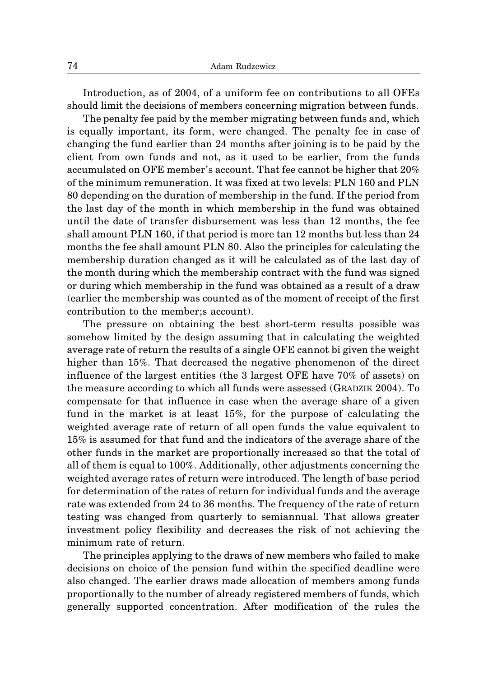Introduction, as of 2004, of a uniform fee on contributions to all OFEs should limit the decisions of members concerning migration between funds.

The penalty fee paid by the member migrating between funds and, which is equally important, its form, were changed. The penalty fee in case of changing the fund earlier than 24 months after joining is to be paid by the client from own funds and not, as it used to be earlier, from the funds accumulated on OFE member's account. That fee cannot be higher that 20% of the minimum remuneration. It was fixed at two levels: PLN 160 and PLN 80 depending on the duration of membership in the fund. If the period from the last day of the month in which membership in the fund was obtained until the date of transfer disbursement was less than 12 months, the fee shall amount PLN 160, if that period is more tan 12 months but less than 24 months the fee shall amount PLN 80. Also the principles for calculating the membership duration changed as it will be calculated as of the last day of the month during which the membership contract with the fund was signed or during which membership in the fund was obtained as a result of a draw (earlier the membership was counted as of the moment of receipt of the first contribution to the member;s account).

The pressure on obtaining the best short-term results possible was somehow limited by the design assuming that in calculating the weighted average rate of return the results of a single OFE cannot bi given the weight higher than 15%. That decreased the negative phenomenon of the direct influence of the largest entities (the 3 largest OFE have 70% of assets) on the measure according to which all funds were assessed (GRADZIK 2004). To compensate for that influence in case when the average share of a given fund in the market is at least 15%, for the purpose of calculating the weighted average rate of return of all open funds the value equivalent to 15% is assumed for that fund and the indicators of the average share of the other funds in the market are proportionally increased so that the total of all of them is equal to 100%. Additionally, other adjustments concerning the weighted average rates of return were introduced. The length of base period for determination of the rates of return for individual funds and the average rate was extended from 24 to 36 months. The frequency of the rate of return testing was changed from quarterly to semiannual. That allows greater investment policy flexibility and decreases the risk of not achieving the minimum rate of return.

The principles applying to the draws of new members who failed to make decisions on choice of the pension fund within the specified deadline were also changed. The earlier draws made allocation of members among funds proportionally to the number of already registered members of funds, which generally supported concentration. After modification of the rules the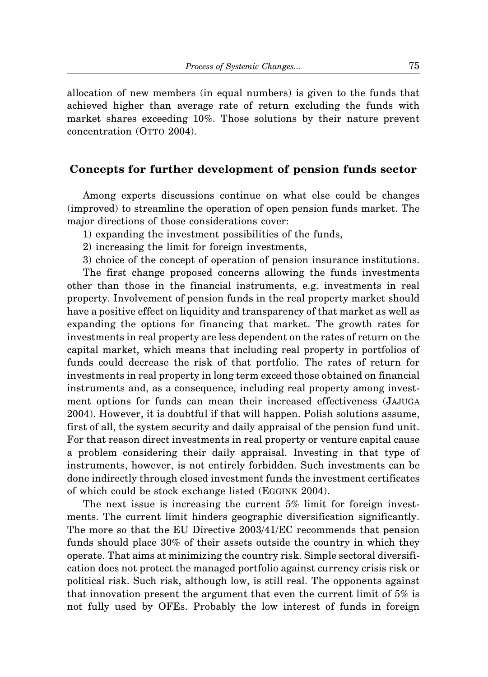allocation of new members (in equal numbers) is given to the funds that achieved higher than average rate of return excluding the funds with market shares exceeding 10%. Those solutions by their nature prevent concentration (OTTO 2004).

### **Concepts for further development of pension funds sector**

Among experts discussions continue on what else could be changes (improved) to streamline the operation of open pension funds market. The major directions of those considerations cover:

- 1) expanding the investment possibilities of the funds,
- 2) increasing the limit for foreign investments,
- 3) choice of the concept of operation of pension insurance institutions.

The first change proposed concerns allowing the funds investments other than those in the financial instruments, e.g. investments in real property. Involvement of pension funds in the real property market should have a positive effect on liquidity and transparency of that market as well as expanding the options for financing that market. The growth rates for investments in real property are less dependent on the rates of return on the capital market, which means that including real property in portfolios of funds could decrease the risk of that portfolio. The rates of return for investments in real property in long term exceed those obtained on financial instruments and, as a consequence, including real property among investment options for funds can mean their increased effectiveness (JAJUGA 2004). However, it is doubtful if that will happen. Polish solutions assume, first of all, the system security and daily appraisal of the pension fund unit. For that reason direct investments in real property or venture capital cause a problem considering their daily appraisal. Investing in that type of instruments, however, is not entirely forbidden. Such investments can be done indirectly through closed investment funds the investment certificates of which could be stock exchange listed (EGGINK 2004).

The next issue is increasing the current 5% limit for foreign investments. The current limit hinders geographic diversification significantly. The more so that the EU Directive 2003/41/EC recommends that pension funds should place 30% of their assets outside the country in which they operate. That aims at minimizing the country risk. Simple sectoral diversification does not protect the managed portfolio against currency crisis risk or political risk. Such risk, although low, is still real. The opponents against that innovation present the argument that even the current limit of 5% is not fully used by OFEs. Probably the low interest of funds in foreign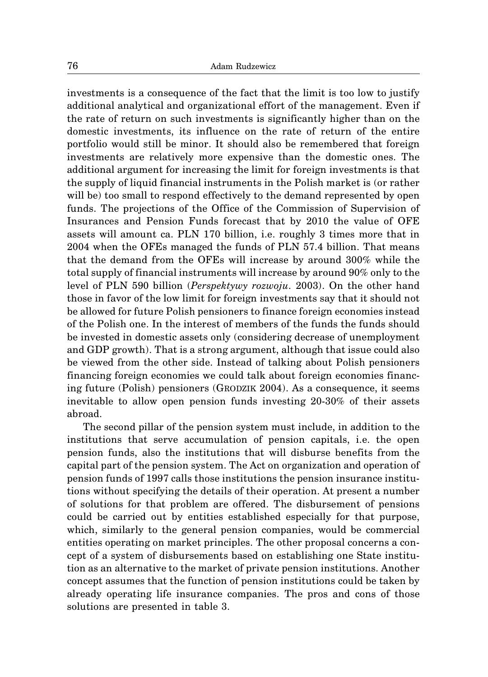investments is a consequence of the fact that the limit is too low to justify additional analytical and organizational effort of the management. Even if the rate of return on such investments is significantly higher than on the domestic investments, its influence on the rate of return of the entire portfolio would still be minor. It should also be remembered that foreign investments are relatively more expensive than the domestic ones. The additional argument for increasing the limit for foreign investments is that the supply of liquid financial instruments in the Polish market is (or rather will be) too small to respond effectively to the demand represented by open funds. The projections of the Office of the Commission of Supervision of Insurances and Pension Funds forecast that by 2010 the value of OFE assets will amount ca. PLN 170 billion, i.e. roughly 3 times more that in 2004 when the OFEs managed the funds of PLN 57.4 billion. That means that the demand from the OFEs will increase by around 300% while the total supply of financial instruments will increase by around 90% only to the level of PLN 590 billion (*Perspektywy rozwoju.* 2003). On the other hand those in favor of the low limit for foreign investments say that it should not be allowed for future Polish pensioners to finance foreign economies instead of the Polish one. In the interest of members of the funds the funds should be invested in domestic assets only (considering decrease of unemployment and GDP growth). That is a strong argument, although that issue could also be viewed from the other side. Instead of talking about Polish pensioners financing foreign economies we could talk about foreign economies financing future (Polish) pensioners (GRODZIK 2004). As a consequence, it seems inevitable to allow open pension funds investing 20-30% of their assets abroad.

The second pillar of the pension system must include, in addition to the institutions that serve accumulation of pension capitals, i.e. the open pension funds, also the institutions that will disburse benefits from the capital part of the pension system. The Act on organization and operation of pension funds of 1997 calls those institutions the pension insurance institutions without specifying the details of their operation. At present a number of solutions for that problem are offered. The disbursement of pensions could be carried out by entities established especially for that purpose, which, similarly to the general pension companies, would be commercial entities operating on market principles. The other proposal concerns a concept of a system of disbursements based on establishing one State institution as an alternative to the market of private pension institutions. Another concept assumes that the function of pension institutions could be taken by already operating life insurance companies. The pros and cons of those solutions are presented in table 3.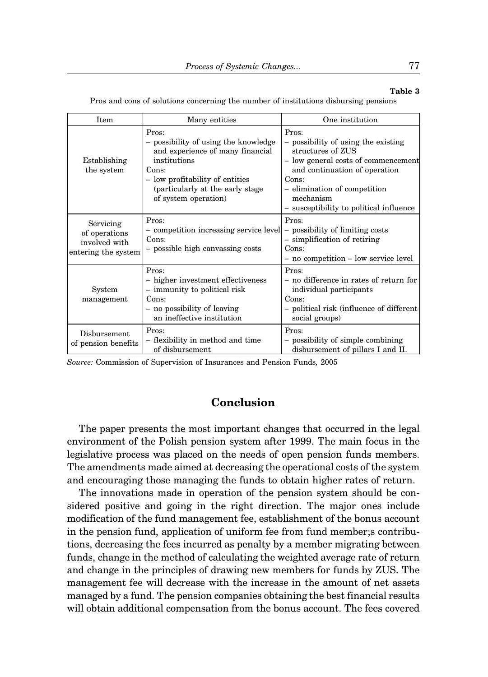#### **Table 3**

Item Many entities One institution Pros: Pros: Pros: – possibility of using the knowledge  $\vert$  – possibility of using the existing and experience of many financial  $\left| \begin{array}{c} \text{structures of ZUS} \\ - \text{ low general costs of} \end{array} \right|$ Establishing institutions  $\vert$  institutions  $\vert$  and  $\vert$  and  $\vert$  and  $\vert$  and  $\vert$  and  $\vert$  and  $\vert$  and  $\vert$  and  $\vert$  and  $\vert$  and  $\vert$  and  $\vert$  and  $\vert$  and  $\vert$  and  $\vert$  and  $\vert$  and  $\vert$  and  $\vert$  and  $\vert$  and  $\vert$  a the system Cons: Constant Constant Constant Constant Constant Constant Constant Constant Constant Constant Constant Constant Constant Constant Constant Constant Constant Constant Constant Constant Constant Constant Constan low profitability of entities Cons: (particularly at the early stage – elimination of competition of system operation) – susceptibility to political influence Pros: Pros: – competition increasing service level – possibility of limiting costs Cons:  $\vert$  – simplification of retiring – possible high canvassing costs Cons: – no competition – low service level Servicing of operations involved with entering the system Pros: Pros: – higher investment effectiveness  $\vert$  – no difference in rates of return for System  $\vert$  – immunity to political risk individual participants management Cons: Const – no possibility of leaving – political risk (influence of different an ineffective institution social groups) Pros: Pros: – flexibility in method and time – possibility of simple combining of disbursement disbursement of pillars I and II. Disbursement of pension benefits

Pros and cons of solutions concerning the number of institutions disbursing pensions

*Source:* Commission of Supervision of Insurances and Pension Funds*,* 2005

## **Conclusion**

The paper presents the most important changes that occurred in the legal environment of the Polish pension system after 1999. The main focus in the legislative process was placed on the needs of open pension funds members. The amendments made aimed at decreasing the operational costs of the system and encouraging those managing the funds to obtain higher rates of return.

The innovations made in operation of the pension system should be considered positive and going in the right direction. The major ones include modification of the fund management fee, establishment of the bonus account in the pension fund, application of uniform fee from fund member;s contributions, decreasing the fees incurred as penalty by a member migrating between funds, change in the method of calculating the weighted average rate of return and change in the principles of drawing new members for funds by ZUS. The management fee will decrease with the increase in the amount of net assets managed by a fund. The pension companies obtaining the best financial results will obtain additional compensation from the bonus account. The fees covered